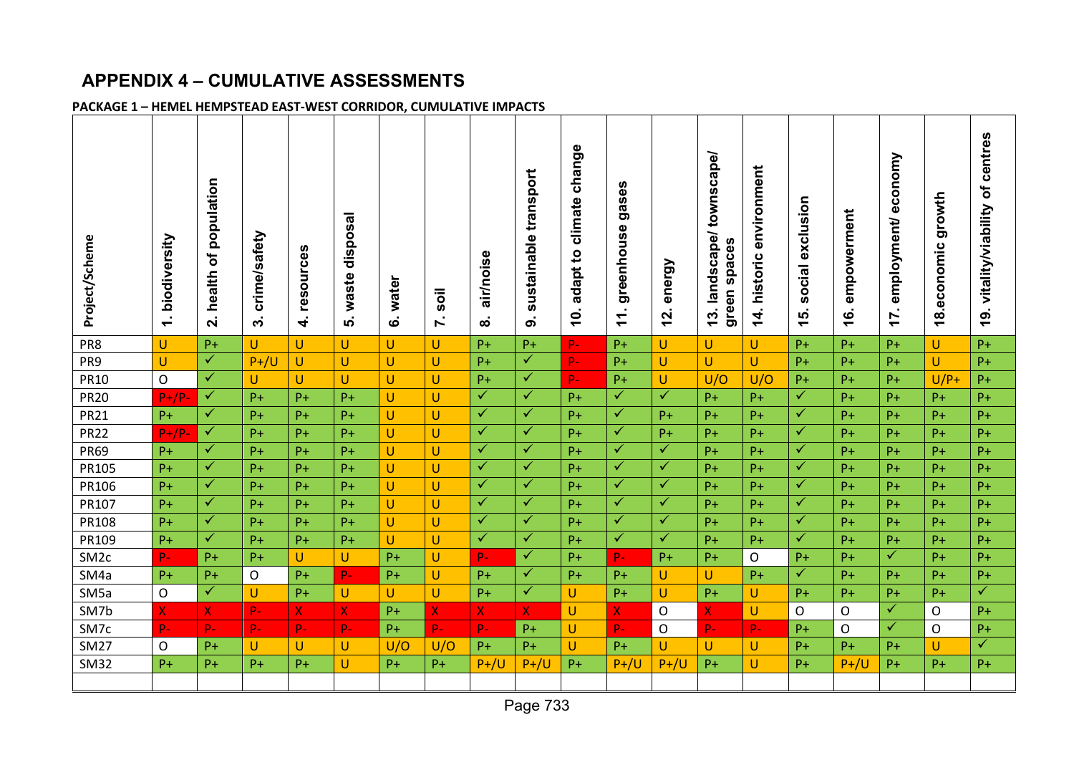# **APPENDIX 4 – CUMULATIVE ASSESSMENTS**

# **PACKAGE 1 – HEMEL HEMPSTEAD EAST-WEST CORRIDOR, CUMULATIVE IMPACTS**

| Project/Scheme   | biodiversity<br>$\div$ | population<br>৳<br>health<br>$\dot{\mathbf{r}}$ | crime/safety<br>ო | n<br>resource<br>$\vec{r}$ | disposal<br>waste<br>ເດ່  | water<br>ق   | soil<br>L | air/noise<br>ထ | sustainable transport<br>တ | change<br>climate<br>adapt to<br>Ģ. | U)<br>gase<br>greenhouse<br>$\overline{\phantom{0}}$<br>$\overline{\phantom{0}}$ | energy<br>N<br>᠇ | townscape/<br>landscape/<br>green spaces<br>S<br>$\overline{\phantom{0}}$ | environment<br>historic<br>$\overline{4}$ | exclusion<br>social<br><u>15</u> | empowerment<br>ဖ<br>$\overline{\phantom{0}}$ | conomy<br>$\bullet$<br>employment/<br>N<br>$\overline{\phantom{0}}$ | growth<br>.economic<br>$\infty$<br>$\overline{\phantom{0}}$ | centres<br>Ⴆ<br>vitality/viability<br><u>ේ</u> |
|------------------|------------------------|-------------------------------------------------|-------------------|----------------------------|---------------------------|--------------|-----------|----------------|----------------------------|-------------------------------------|----------------------------------------------------------------------------------|------------------|---------------------------------------------------------------------------|-------------------------------------------|----------------------------------|----------------------------------------------|---------------------------------------------------------------------|-------------------------------------------------------------|------------------------------------------------|
| PR8              | U                      | $P+$                                            | U.                | U                          | $\mathsf{U}$              | U            | U         | $P+$           | $P+$                       | $P -$                               | $P+$                                                                             | U                | U                                                                         | U.                                        | $P+$                             | $P+$                                         | $P+$                                                                | U                                                           | $P+$                                           |
| PR <sub>9</sub>  | U                      | $\checkmark$                                    | $P+/U$            | U                          | U                         | U            | U         | $P+$           | $\overline{\checkmark}$    | $P -$                               | $P+$                                                                             | U                | $\cup$                                                                    | U                                         | $P+$                             | $P+$                                         | $P+$                                                                | U                                                           | $P+$                                           |
| <b>PR10</b>      | 0                      | ✓                                               | U                 | U                          | U                         | U            | U         | $P +$          | ✓                          | $P -$                               | $P+$                                                                             | U                | U/O                                                                       | U/O                                       | $P+$                             | $P+$                                         | $P+$                                                                | $U/P+$                                                      | $P+$                                           |
| <b>PR20</b>      | $P+/P$                 | $\checkmark$                                    | $P+$              | $P+$                       | $P+$                      | $\mathbf{U}$ | U         | $\checkmark$   | $\checkmark$               | $P+$                                | ✓                                                                                | $\checkmark$     | $P+$                                                                      | $P+$                                      | $\checkmark$                     | $P+$                                         | $P+$                                                                | $P+$                                                        | $P+$                                           |
| <b>PR21</b>      | $P+$                   | ✓                                               | $P+$              | $P+$                       | $P+$                      | $\mathbf{U}$ | U         | $\checkmark$   | $\checkmark$               | $P+$                                | $\checkmark$                                                                     | $P +$            | $P+$                                                                      | $P+$                                      | $\checkmark$                     | $P+$                                         | $P+$                                                                | $P+$                                                        | $P +$                                          |
| <b>PR22</b>      | $P+/P$                 | $\checkmark$                                    | $P+$              | $P+$                       | $P+$                      | U            | U         | $\checkmark$   | $\checkmark$               | $P+$                                | ✓                                                                                | $P+$             | $P+$                                                                      | $P+$                                      | $\checkmark$                     | $P+$                                         | $P+$                                                                | $P+$                                                        | $P+$                                           |
| <b>PR69</b>      | $P+$                   | $\checkmark$                                    | $P+$              | $P+$                       | $P+$                      | $\mathbf{U}$ | U         | $\checkmark$   | $\checkmark$               | $P+$                                | $\checkmark$                                                                     | $\checkmark$     | $P+$                                                                      | $P+$                                      | $\checkmark$                     | $P+$                                         | $P+$                                                                | $P+$                                                        | $P+$                                           |
| PR105            | $P+$                   | ✓                                               | $P+$              | $P+$                       | $P+$                      | U            | U         | ✓              | $\checkmark$               | $P+$                                | ✓                                                                                | $\checkmark$     | $P+$                                                                      | $P+$                                      | ✓                                | $P+$                                         | $P+$                                                                | $P+$                                                        | $P+$                                           |
| PR106            | $P+$                   | $\checkmark$                                    | $P+$              | $P+$                       | $P+$                      | U            | U         | $\checkmark$   | $\checkmark$               | $P+$                                | $\checkmark$                                                                     | $\checkmark$     | $P+$                                                                      | $P+$                                      | $\checkmark$                     | $P+$                                         | $P+$                                                                | $P+$                                                        | $P+$                                           |
| PR107            | $P+$                   | ✓                                               | $P+$              | $P+$                       | $P+$                      | U            | U         | ✓              | $\checkmark$               | $P+$                                | $\checkmark$                                                                     | $\checkmark$     | $P+$                                                                      | $P+$                                      | ✓                                | $P+$                                         | $P+$                                                                | $P+$                                                        | $P+$                                           |
| PR108            | $P+$                   | ✓                                               | $P+$              | $P+$                       | $P+$                      | U            | U         | $\checkmark$   | $\checkmark$               | $P+$                                | ✓                                                                                | $\checkmark$     | $P+$                                                                      | $P+$                                      | $\checkmark$                     | $P+$                                         | $P+$                                                                | $P+$                                                        | $P+$                                           |
| PR109            | $P+$                   | $\checkmark$                                    | $P+$              | $P+$                       | $P+$                      | $\mathbf{U}$ | U         | $\checkmark$   | $\checkmark$               | $P+$                                | ✓                                                                                | $\checkmark$     | $P+$                                                                      | $P+$                                      | $\checkmark$                     | $P+$                                         | $P+$                                                                | $P+$                                                        | $P+$                                           |
| SM <sub>2c</sub> | $P -$                  | $P+$                                            | $P+$              | U                          | $\cup$                    | $P+$         | U         | $P -$          | $\checkmark$               | $P+$                                | $P -$                                                                            | $P+$             | $P+$                                                                      | O                                         | $P+$                             | $P+$                                         | $\checkmark$                                                        | $P+$                                                        | $P+$                                           |
| SM4a             | $P+$                   | $P+$                                            | O                 | $P+$                       | $P -$                     | $P+$         | U         | $P+$           | $\checkmark$               | $P+$                                | $P+$                                                                             | U                | U                                                                         | $P+$                                      | $\checkmark$                     | $P+$                                         | $P+$                                                                | $P+$                                                        | $P+$                                           |
| SM <sub>5a</sub> | O                      | ✓                                               | $\cup$            | $P+$                       | $\cup$                    | U            | U         | $P+$           | ✓                          | U                                   | $P+$                                                                             | U                | $P+$                                                                      | U                                         | $P+$                             | $P+$                                         | $P+$                                                                | $P+$                                                        | ✓                                              |
| SM7b             | X                      | X.                                              | $P -$             | X                          | $\boldsymbol{\mathsf{X}}$ | $P+$         | X         | X              | X.                         | U                                   | X                                                                                | $\circ$          | X.                                                                        | U                                         | O                                | $\Omega$                                     | $\checkmark$                                                        | O                                                           | $P+$                                           |
| SM7c             | $P -$                  | $P-$                                            | $P-$              | $P-$                       | $P-$                      | $P+$         | $P -$     | $P-$           | $P+$                       | U                                   | $P -$                                                                            | $\mathsf{O}$     | $P -$                                                                     | $P -$                                     | $P+$                             | O                                            | ✓                                                                   | $\circ$                                                     | $P+$                                           |
| <b>SM27</b>      | 0                      | $P+$                                            | $\cup$            | U                          | U                         | U/O          | U/O       | $P +$          | $P+$                       | U                                   | $P+$                                                                             | U                | U                                                                         | U                                         | $P+$                             | $P+$                                         | $P+$                                                                | U                                                           | $\checkmark$                                   |
| <b>SM32</b>      | $P+$                   | $P+$                                            | $P+$              | $P+$                       | $\cup$                    | $P+$         | $P+$      | $P+/U$         | $P+/U$                     | $P+$                                | $P+/U$                                                                           | $P+/U$           | $P+$                                                                      | Ù                                         | $P+$                             | $P+/U$                                       | $P+$                                                                | $P+$                                                        | $P +$                                          |
|                  |                        |                                                 |                   |                            |                           |              |           |                |                            |                                     |                                                                                  |                  |                                                                           |                                           |                                  |                                              |                                                                     |                                                             |                                                |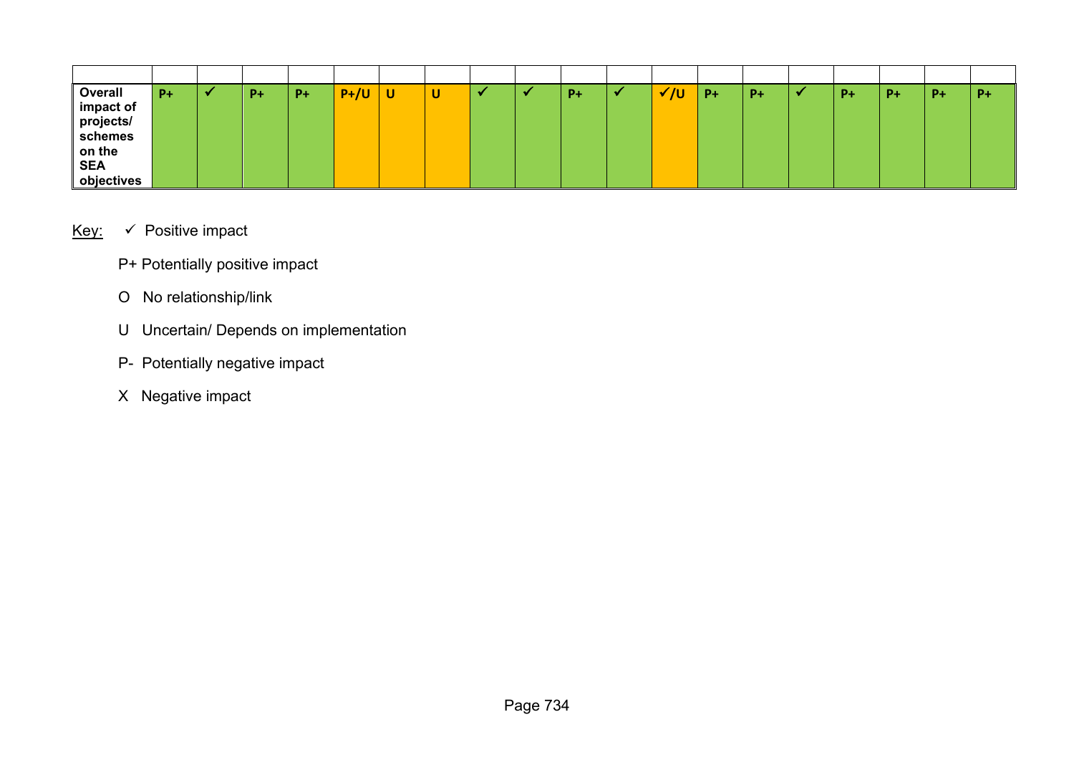| Overall    | $P+$ | $P+$ | $P+$ | $P+/U$ | U | ັ |  | $P+$ | 7υ | $P+$ | $P+$ | P+ | $P+$ | $P+$ | $P+$ |
|------------|------|------|------|--------|---|---|--|------|----|------|------|----|------|------|------|
| impact of  |      |      |      |        |   |   |  |      |    |      |      |    |      |      |      |
| projects/  |      |      |      |        |   |   |  |      |    |      |      |    |      |      |      |
| schemes    |      |      |      |        |   |   |  |      |    |      |      |    |      |      |      |
| on the     |      |      |      |        |   |   |  |      |    |      |      |    |      |      |      |
| <b>SEA</b> |      |      |      |        |   |   |  |      |    |      |      |    |      |      |      |
| objectives |      |      |      |        |   |   |  |      |    |      |      |    |      |      |      |

# Key:  $\checkmark$  Positive impact

- P+ Potentially positive impact
- O No relationship/link
- U Uncertain/ Depends on implementation
- P- Potentially negative impact
- X Negative impact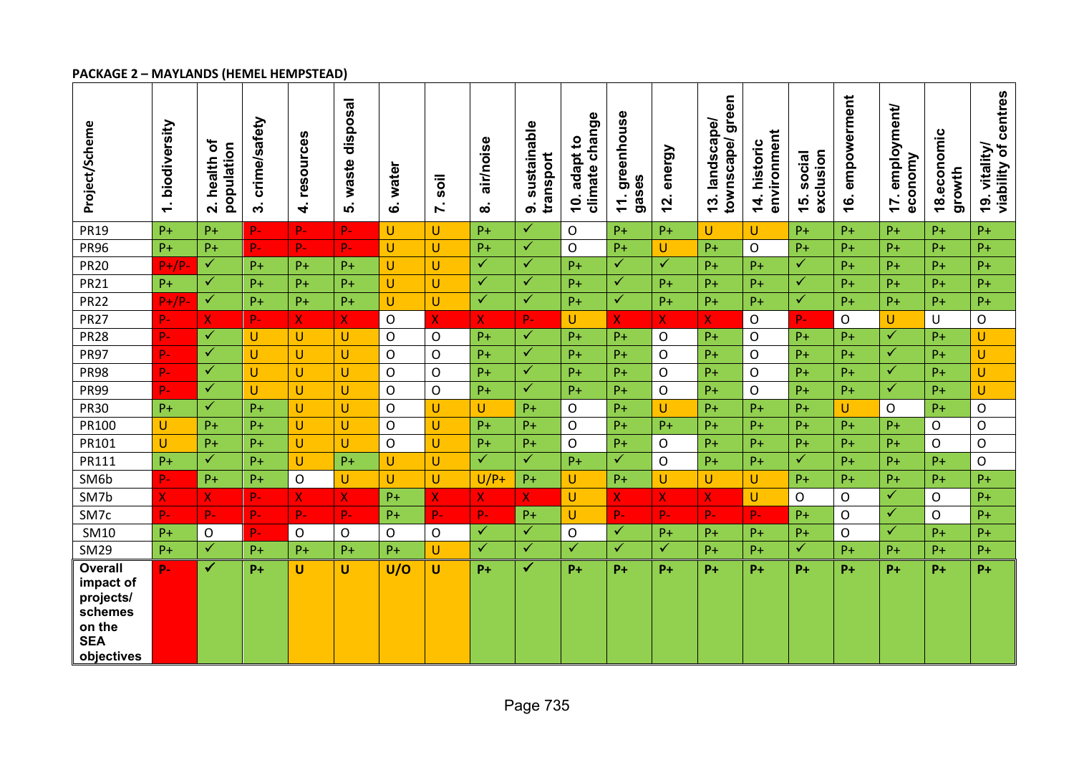## **PACKAGE 2 – MAYLANDS (HEMEL HEMPSTEAD)**

| Project/Scheme                                                                            | biodiversity<br>$\div$ | ð<br>population<br>health<br>$\overline{\mathbf{N}}$ | crime/safety<br>$\ddot{\mathbf{c}}$ | <b>S</b><br>resource<br>4 | waste disposal<br>ທ່ | water<br>$\dot{\mathbf{o}}$ | soil<br>Z    | air/noise<br>ထံ | sustainable<br>transport<br>ை | climate change<br>adapt to<br><u>io</u> | greenhouse<br>gases<br>$\sim$<br>$\mathbf{r}$ | energy<br><u>12.</u> | townscape/green<br>landscape/<br>$\frac{3}{3}$ | environment<br>historic<br>14. | exclusion<br>social<br><b>15.</b> | empowerment<br><u>ʻ</u> | employment/<br>economy<br>17. | 18.economic<br>growth | viability of centres<br>19. vitality/ |
|-------------------------------------------------------------------------------------------|------------------------|------------------------------------------------------|-------------------------------------|---------------------------|----------------------|-----------------------------|--------------|-----------------|-------------------------------|-----------------------------------------|-----------------------------------------------|----------------------|------------------------------------------------|--------------------------------|-----------------------------------|-------------------------|-------------------------------|-----------------------|---------------------------------------|
| <b>PR19</b>                                                                               | $P+$                   | $P+$                                                 | $P -$                               | P-                        | $P -$                | $\cup$                      | U            | $P+$            | $\checkmark$                  | O                                       | $P+$                                          | $P+$                 | U                                              | U                              | $P +$                             | $P+$                    | $P+$                          | $P+$                  | $P+$                                  |
| <b>PR96</b>                                                                               | $P+$                   | $P+$                                                 | $P -$                               | P-                        | $P -$                | U                           | U            | $P+$            | ✓                             | O                                       | $P +$                                         | $\cup$               | $P+$                                           | O                              | $P +$                             | $P+$                    | $P+$                          | $P+$                  | $P+$                                  |
| <b>PR20</b>                                                                               | $P+/P$                 | $\blacktriangledown$                                 | $P+$                                | $P+$                      | $P+$                 | $\cup$                      | U            | $\checkmark$    | $\blacktriangledown$          | $P+$                                    | $\checkmark$                                  | $\checkmark$         | $P+$                                           | $P+$                           | $\overline{\checkmark}$           | $P+$                    | $P+$                          | $P+$                  | $P +$                                 |
| <b>PR21</b>                                                                               | $P+$                   | ✓                                                    | $P+$                                | $P+$                      | $P+$                 | U                           | U            | $\checkmark$    | $\checkmark$                  | $P+$                                    | ✓                                             | $P+$                 | $P+$                                           | $P+$                           | $\checkmark$                      | $P+$                    | $P+$                          | $P+$                  | $P+$                                  |
| <b>PR22</b>                                                                               | $P+/P$                 | $\checkmark$                                         | $P+$                                | $P +$                     | $P+$                 | U                           | U            | $\checkmark$    | $\checkmark$                  | $P+$                                    | $\checkmark$                                  | $P+$                 | $P+$                                           | $P+$                           | $\checkmark$                      | $P+$                    | $P+$                          | $P+$                  | $P+$                                  |
| <b>PR27</b>                                                                               | $P -$                  | $\overline{X}$                                       | $P-$                                | $\mathsf{X}$              | X                    | $\circ$                     | X            | $\mathsf{X}$    | $P-$                          | Ù                                       | $\overline{\mathsf{X}}$                       | $\mathsf{X}$         | $\boldsymbol{X}$                               | $\mathsf O$                    | P-                                | O                       | U                             | $\cup$                | O                                     |
| <b>PR28</b>                                                                               | $P -$                  | $\overline{\checkmark}$                              | $\cup$                              | U                         | U                    | $\mathsf{O}$                | $\mathsf{O}$ | $P+$            | $\sqrt{}$                     | $P+$                                    | $P+$                                          | $\mathsf{O}$         | $P+$                                           | O                              | $P+$                              | $P+$                    | $\checkmark$                  | $P+$                  | U                                     |
| <b>PR97</b>                                                                               | $P -$                  | $\checkmark$                                         | U                                   | U                         | U                    | $\circ$                     | O            | $P+$            | $\checkmark$                  | $P+$                                    | $P+$                                          | $\mathsf{O}$         | $P+$                                           | O                              | $P +$                             | $P+$                    | $\checkmark$                  | $P+$                  | U                                     |
| <b>PR98</b>                                                                               | $P -$                  | $\checkmark$                                         | $\cup$                              | U                         | U                    | $\mathsf{O}$                | $\mathsf O$  | $P+$            | $\checkmark$                  | $P +$                                   | $P+$                                          | $\mathsf{O}$         | $P+$                                           | O                              | $P +$                             | $P+$                    | $\checkmark$                  | $P+$                  | U                                     |
| <b>PR99</b>                                                                               | $\mathbf{p}_-$         | $\checkmark$                                         | $\mathbf{U}$                        | U                         | U                    | $\circ$                     | $\mathsf{O}$ | $P+$            | $\checkmark$                  | $P+$                                    | $P+$                                          | $\mathsf{O}$         | $P+$                                           | $\mathsf{O}$                   | $P +$                             | $P+$                    | $\checkmark$                  | $P+$                  | U                                     |
| <b>PR30</b>                                                                               | $P+$                   | $\checkmark$                                         | $P+$                                | U                         | U                    | $\circ$                     | U            | U               | $P+$                          | O                                       | $P +$                                         | U                    | $P+$                                           | $P+$                           | $P+$                              | U                       | 0                             | $P+$                  | $\mathsf O$                           |
| PR100                                                                                     | U                      | $P+$                                                 | $P+$                                | U                         | U                    | $\circ$                     | U            | $P+$            | $P+$                          | $\mathsf O$                             | $P+$                                          | $P+$                 | $P+$                                           | $P+$                           | $P +$                             | $P+$                    | $P+$                          | $\mathsf{O}$          | $\mathsf O$                           |
| PR101                                                                                     | U                      | $P+$                                                 | $P+$                                | U                         | U                    | $\Omega$                    | U            | $P+$            | $P+$                          | $\mathsf{O}$                            | $P+$                                          | $\mathsf{O}$         | $P+$                                           | $P+$                           | $P +$                             | $P+$                    | $P+$                          | $\Omega$              | $\mathsf O$                           |
| PR111                                                                                     | $P+$                   | $\checkmark$                                         | $P+$                                | U                         | $P+$                 | U                           | U            | $\checkmark$    | $\checkmark$                  | $P+$                                    | $\checkmark$                                  | $\mathsf{O}$         | $P+$                                           | $P+$                           | $\checkmark$                      | $P+$                    | $P+$                          | $P+$                  | $\mathsf O$                           |
| SM6b                                                                                      | $P-$                   | $P+$                                                 | $P+$                                | O                         | U                    | $\cup$                      | U            | $U/P+$          | $P+$                          | U                                       | $P+$                                          | $\sf U$              | U                                              | U                              | $P+$                              | $P +$                   | $P+$                          | $P+$                  | $P +$                                 |
| SM7b                                                                                      | $\mathsf{X}$           | X                                                    | $P-$                                | $\mathsf{X}$              | $\mathsf{X}$         | $P+$                        | $\mathsf{X}$ | $\mathsf{X}$    | $\mathsf{X}$                  | U                                       | $\overline{\mathsf{X}}$                       | $\mathsf{X}$         | $\mathsf{X}$                                   | U                              | $\mathsf{O}$                      | 0                       | $\checkmark$                  | $\mathsf{O}$          | $P+$                                  |
| SM7c                                                                                      | $P -$                  | $P -$                                                | $P-$                                | P-                        | $P -$                | $P+$                        | $P -$        | $P -$           | $P+$                          | U                                       | $P -$                                         | $P -$                | $P -$                                          | $P -$                          | $P+$                              | O                       | $\checkmark$                  | $\Omega$              | $P +$                                 |
| <b>SM10</b>                                                                               | $P+$                   | $\mathsf O$                                          | $P -$                               | $\mathsf O$               | O                    | $\mathsf{O}$                | O            | $\checkmark$    | $\checkmark$                  | $\mathsf O$                             | $\checkmark$                                  | $P+$                 | $P+$                                           | $P+$                           | $P +$                             | $\mathsf{O}$            | $\checkmark$                  | $P+$                  | $P +$                                 |
| <b>SM29</b>                                                                               | $P+$                   | $\checkmark$                                         | $P+$                                | $P+$                      | $P+$                 | $P+$                        | U            | $\checkmark$    | $\checkmark$                  | ✓                                       | $\checkmark$                                  | $\checkmark$         | $P+$                                           | $P+$                           | ✓                                 | $P+$                    | $P+$                          | $P+$                  | $P+$                                  |
| <b>Overall</b><br>impact of<br>projects/<br>schemes<br>on the<br><b>SEA</b><br>objectives | $\mathbf{p}_-$         | $\checkmark$                                         | $P+$                                | U                         | U                    | U/O                         | U            | $P+$            | ✓                             | $P+$                                    | $P+$                                          | $P+$                 | $P+$                                           | $P+$                           | $P+$                              | P+                      | $P+$                          | $P+$                  | $P+$                                  |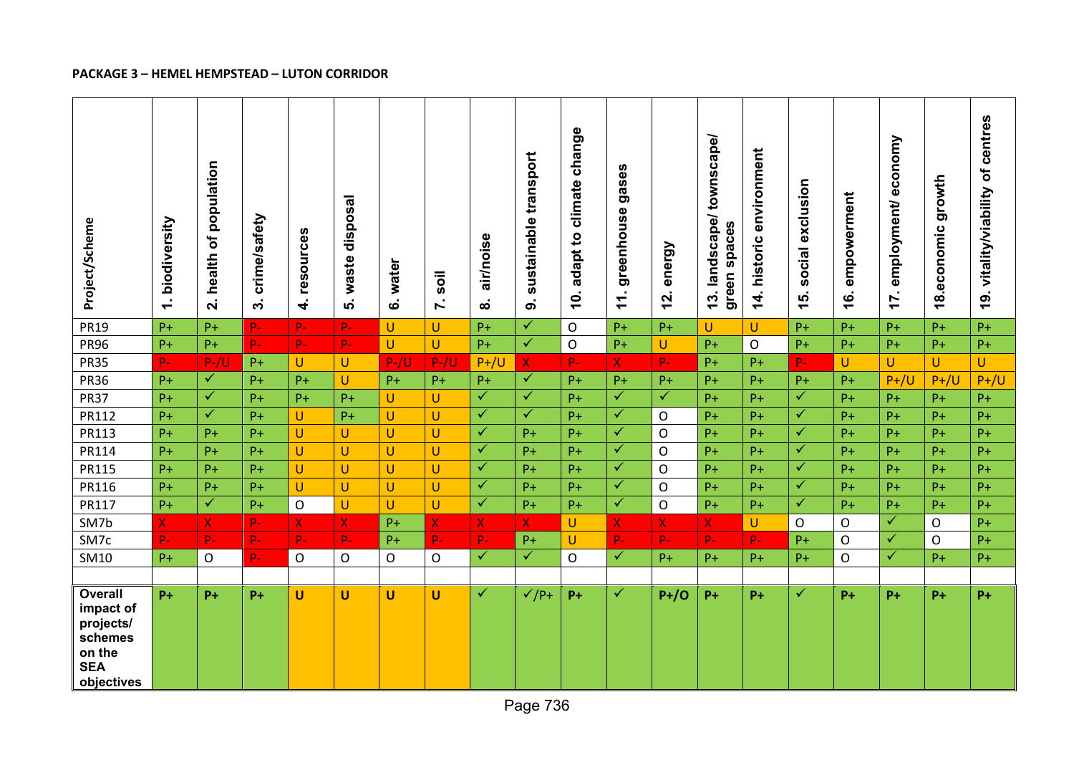# **PACKAGE 3 – HEMEL HEMPSTEAD – LUTON CORRIDOR**

| Project/Scheme                                                                            | biodiversity<br>$\div$ | population<br>৳<br>health<br>$\overline{\mathbf{N}}$ | crime/safety<br>$\ddot{\mathbf{c}}$ | resources<br>4 | waste disposal<br>ທ່ | water<br>$\dot{\mathbf{o}}$ | soil<br>$\mathbf{r}$ | air/noise<br>ထ | sustainable transport<br>$\dot{\mathbf{o}}$ | adapt to climate change<br><u>io</u> | gases<br>greenhouse<br>Ξ. | energy<br>$\mathbf{z}$ | townscape/<br>landscape/<br>green spaces<br>$\frac{3}{3}$ | historic environment<br>$\overline{14}$ . | exclusion<br>social<br>15. | empowerment<br><u>َ¢</u> | economy<br>employment/<br>$\mathbf{r}$ | growth<br>economic<br>$\frac{8}{1}$ | 19. vitality/viability of centres |
|-------------------------------------------------------------------------------------------|------------------------|------------------------------------------------------|-------------------------------------|----------------|----------------------|-----------------------------|----------------------|----------------|---------------------------------------------|--------------------------------------|---------------------------|------------------------|-----------------------------------------------------------|-------------------------------------------|----------------------------|--------------------------|----------------------------------------|-------------------------------------|-----------------------------------|
| <b>PR19</b>                                                                               | $P+$                   | $P+$                                                 | $P -$                               | P-             | p.                   | $\mathsf{U}$                | U.                   | $P+$           | $\checkmark$                                | $\mathsf{O}$                         | $P+$                      | $P+$                   | U.                                                        | U.                                        | $P +$                      | $P+$                     | $P+$                                   | $P+$                                | $P+$                              |
| <b>PR96</b>                                                                               | $P+$                   | $P+$                                                 | $P-$                                | $P -$          | $P -$                | $\cup$                      | U.                   | $P+$           | $\checkmark$                                | $\mathsf O$                          | $P+$                      | $\cup$                 | $P+$                                                      | O                                         | $P+$                       | $P+$                     | $P+$                                   | $P+$                                | $P+$                              |
| <b>PR35</b>                                                                               | $P -$                  | $P-/U$                                               | $P+$                                | U              | U                    | $P-V$                       | $P - / U$            | $P+ / U$       | $\mathsf{X}$                                | $P -$                                | $\overline{X}$            | $P-$                   | $P+$                                                      | $P+$                                      | $P-$                       | U                        | U                                      | U                                   | U                                 |
| <b>PR36</b>                                                                               | $P+$                   | $\checkmark$                                         | $P+$                                | $P+$           | Ù                    | $P+$                        | $P+$                 | $P+$           | $\checkmark$                                | $P+$                                 | $P+$                      | $P+$                   | $P+$                                                      | $P+$                                      | $P+$                       | $P+$                     | $P+ / U$                               | $P+/U$                              | $P+/U$                            |
| <b>PR37</b>                                                                               | $P+$                   | $\checkmark$                                         | $P+$                                | $P+$           | $P+$                 | U                           | U                    | $\checkmark$   | ✓                                           | $P+$                                 | $\checkmark$              | $\checkmark$           | $P+$                                                      | $P+$                                      | $\checkmark$               | $P+$                     | $P+$                                   | $P+$                                | $P+$                              |
| PR112                                                                                     | $P+$                   | $\checkmark$                                         | $P+$                                | U              | $P+$                 | U                           | U                    | $\checkmark$   | $\checkmark$                                | $P+$                                 | $\checkmark$              | $\mathsf{O}$           | $P+$                                                      | $P+$                                      | $\checkmark$               | $P+$                     | $P+$                                   | $P+$                                | $P+$                              |
| PR113                                                                                     | $P+$                   | $P+$                                                 | $P+$                                | U              | U                    | $\cup$                      | U                    | $\checkmark$   | $P+$                                        | $P +$                                | $\checkmark$              | $\mathsf{O}$           | $P+$                                                      | $P+$                                      | ✓                          | $P +$                    | $P+$                                   | $P+$                                | $P+$                              |
| PR114                                                                                     | $P+$                   | $P+$                                                 | $P+$                                | U              | U                    | $\cup$                      | U                    | $\checkmark$   | $P+$                                        | $P+$                                 | $\checkmark$              | $\mathsf{O}$           | $P+$                                                      | $P+$                                      | $\overline{\checkmark}$    | $P+$                     | $P+$                                   | $P+$                                | $P +$                             |
| PR115                                                                                     | $P+$                   | $P+$                                                 | $P+$                                | U              | $\cup$               | $\mathsf U$                 | U                    | $\checkmark$   | $P+$                                        | $P+$                                 | $\checkmark$              | $\mathsf{O}$           | $P+$                                                      | $P+$                                      | $\checkmark$               | $P+$                     | $P+$                                   | $P+$                                | $P+$                              |
| PR116                                                                                     | $P+$                   | $P+$                                                 | $P+$                                | U              | U                    | $\cup$                      | U                    | $\checkmark$   | $P+$                                        | $P+$                                 | $\checkmark$              | $\mathsf O$            | $P+$                                                      | $P+$                                      | $\checkmark$               | $P+$                     | $P+$                                   | $P+$                                | $P+$                              |
| PR117                                                                                     | $P+$                   | $\checkmark$                                         | $P+$                                | $\mathsf O$    | U                    | $\cup$                      | U                    | $\checkmark$   | $P+$                                        | $P +$                                | $\checkmark$              | $\mathsf{O}$           | $P+$                                                      | $P+$                                      | $\checkmark$               | $P+$                     | $P+$                                   | $P+$                                | $P +$                             |
| SM7b                                                                                      | $\mathsf{X}$           | $\mathsf{X}^-$                                       | $P-$                                | $\mathsf{X}$   | $\mathsf{X}$         | $P+$                        | $\mathsf{X}$         | $\mathsf{X}$   | $\mathbf{X}$                                | U                                    | X.                        | $\mathsf{X}$           | $\mathsf{X}$                                              | U                                         | O                          | 0                        | $\checkmark$                           | $\mathsf{O}$                        | $P+$                              |
| SM7c                                                                                      | $P -$                  | $P -$                                                | $P-$                                | $P-$           | $P -$                | $P+$                        | P-                   | $P -$          | $P+$                                        | U                                    | $P -$                     | $P -$                  | $P -$                                                     | $P -$                                     | $P+$                       | O                        | $\checkmark$                           | $\mathsf{O}$                        | $P+$                              |
| SM10                                                                                      | $P+$                   | $\mathsf{O}$                                         | $P -$                               | $\mathsf{O}$   | O                    | $\mathsf{O}$                | $\mathsf O$          | $\checkmark$   | $\checkmark$                                | $\mathsf{O}$                         | $\checkmark$              | $P+$                   | $P+$                                                      | $P+$                                      | $P+$                       | 0                        | $\checkmark$                           | $P+$                                | $P+$                              |
|                                                                                           |                        |                                                      |                                     |                |                      |                             |                      |                |                                             |                                      |                           |                        |                                                           |                                           |                            |                          |                                        |                                     |                                   |
| <b>Overall</b><br>impact of<br>projects/<br>schemes<br>on the<br><b>SEA</b><br>objectives | $P+$                   | $P+$                                                 | $P+$                                | U              | U                    | $\mathsf{U}$                | U                    | ✓              | $\sqrt{P+}$                                 | $P+$                                 | ✓                         | $P+ / O$               | $P+$                                                      | $P+$                                      | $\checkmark$               | $P+$                     | $P+$                                   | $P+$                                | $P+$                              |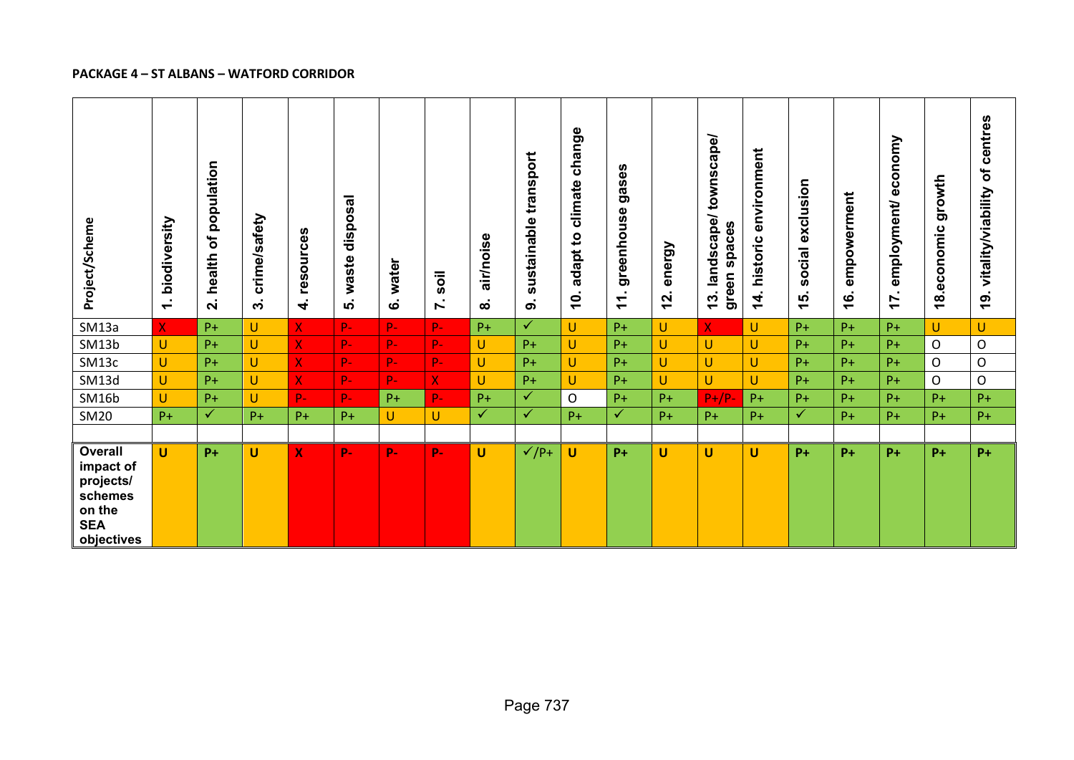#### **PACKAGE 4 – ST ALBANS – WATFORD CORRIDOR**

| Project/Scheme                                                                            | biodiversity<br>$\sim$<br>$\overline{\phantom{0}}$ | population<br>ð<br>health<br>$\dot{\mathbf{v}}$ | crime/safety<br>ო | resources<br>$\vec{r}$  | disposal<br>waste<br>ທ່ | water<br>$\dot{\mathbf{c}}$ | soil<br>$\mathbf{r}$ | air/noise<br>$\infty$ | sustainable transport<br>$\dot{\mathbf{o}}$ | climate change<br>adapt to<br>$\dot{q}$ | gases<br>greenhouse<br>$\overline{\phantom{0}}$<br>$\overline{\phantom{0}}$ | energy<br>$\mathbf{z}$ | townscape/<br>landscape/<br>spaces<br>green<br>13 | environment<br>historic<br>$\overline{\bf 4}$ | social exclusion<br>15. | empowerment<br><u>ʻ</u> | economy<br>employment/<br>$\overline{1}$ | growth<br>economic<br>$\frac{8}{1}$ | of centres<br>19. vitality/viability |
|-------------------------------------------------------------------------------------------|----------------------------------------------------|-------------------------------------------------|-------------------|-------------------------|-------------------------|-----------------------------|----------------------|-----------------------|---------------------------------------------|-----------------------------------------|-----------------------------------------------------------------------------|------------------------|---------------------------------------------------|-----------------------------------------------|-------------------------|-------------------------|------------------------------------------|-------------------------------------|--------------------------------------|
| SM13a                                                                                     | $\mathsf{X}$                                       | $P+$                                            | $\sf U$           | $\overline{\mathsf{X}}$ | $P-$                    | $P-$                        | $P-$                 | $P+$                  | $\sqrt{}$                                   | U                                       | $P+$                                                                        | U.                     | $\mathsf{X}$                                      | U                                             | $P+$                    | $P+$                    | $P+$                                     | U                                   | $\mathsf{U}$                         |
| SM13b                                                                                     | U                                                  | $P+$                                            | $\mathsf{U}$      | $\overline{\mathsf{X}}$ | $P-$                    | $P-$                        | $P-$                 | $\cup$                | $P+$                                        | U                                       | $P+$                                                                        | U.                     | U                                                 | $\mathsf{U}$                                  | $P+$                    | $P+$                    | $P+$                                     | $\mathsf{O}$                        | $\mathsf O$                          |
| SM13c                                                                                     | U                                                  | $P+$                                            | $\mathsf U$       | $\mathsf{X}$            | P-                      | $P-$                        | $P-$                 | $\cup$                | $P+$                                        | U                                       | $P+$                                                                        | U.                     | U                                                 | $\sf U$                                       | $P+$                    | $P+$                    | $P+$                                     | $\circ$                             | $\mathsf O$                          |
| SM13d                                                                                     | U                                                  | $P+$                                            | $\cup$            | $\mathsf{X}$            | $P-$                    | $P-$                        | $\mathsf{X}^-$       | $\cup$                | $P+$                                        | U                                       | $P+$                                                                        | U.                     | U                                                 | $\mathsf{U}$                                  | $P+$                    | $P+$                    | $P+$                                     | $\circ$                             | $\mathsf O$                          |
| SM16b                                                                                     | U                                                  | $P+$                                            | $\cup$            | p.                      | $P-$                    | $P+$                        | $P-$                 | $P+$                  | $\checkmark$                                | $\mathsf{O}$                            | $P+$                                                                        | $P+$                   | $P+/P-$                                           | $P+$                                          | $P+$                    | $P+$                    | $P+$                                     | $P+$                                | $P+$                                 |
| <b>SM20</b>                                                                               | $P+$                                               | $\checkmark$                                    | $P+$              | $P+$                    | $P+$                    | $\cup$                      | U                    | $\checkmark$          | $\checkmark$                                | $P+$                                    | $\checkmark$                                                                | $P+$                   | $P+$                                              | $P+$                                          | $\checkmark$            | $P+$                    | $P+$                                     | $P+$                                | $P+$                                 |
| <b>Overall</b><br>impact of<br>projects/<br>schemes<br>on the<br><b>SEA</b><br>objectives | U                                                  | $P+$                                            | $\mathsf{U}$      | $\mathbf x$             | $P -$                   | $P -$                       | $P -$                | $\mathsf{U}$          | $\sqrt{P+}$                                 | U                                       | $P+$                                                                        | U                      | U                                                 | U                                             | $P+$                    | $P+$                    | $P+$                                     | $P+$                                | $P+$                                 |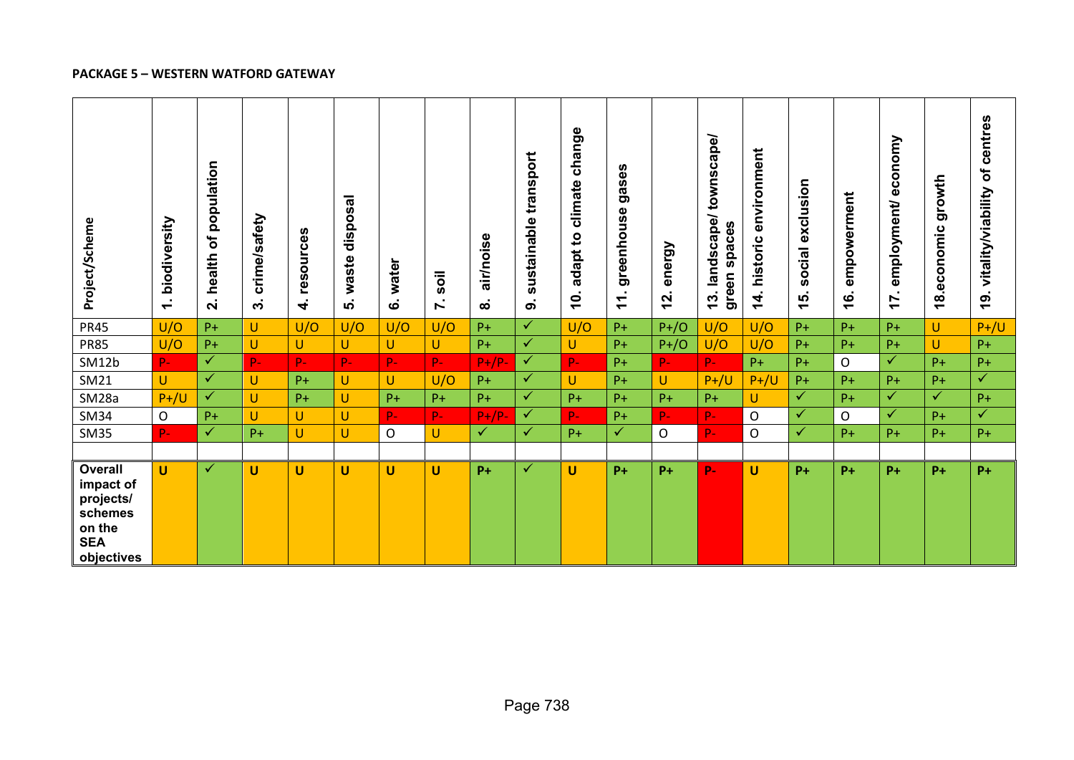#### **PACKAGE 5 – WESTERN WATFORD GATEWAY**

| Project/Scheme                                                                     | biodiversity<br>$\sim$<br>$\overline{\phantom{0}}$ | population<br>$\mathbf{b}$<br>health<br>$\dot{\mathbf{v}}$ | crime/safety<br>$\ddot{\mathbf{c}}$ | resources<br>$\vec{r}$ | waste disposal<br>ທ່ | water<br>ဖ   | soil<br>$\sim$<br>N | air/noise<br>$\bf \infty$ | sustainable transport<br>$\dot{\mathbf{o}}$ | adapt to climate change<br>$\dot{a}$ | gases<br>greenhouse<br>$\mathbf{r}$ | energy<br>12. | townscape/<br>landscape/<br>green spaces<br><u>(၁</u> | environment<br>historic<br>$\frac{4}{1}$ | social exclusion<br>15. | empowerment<br><u>ʻ</u> | economy<br>employment/<br>17. | growth<br>economic<br>$\frac{8}{1}$ | of centres<br>vitality/viability<br><u>19.</u> |
|------------------------------------------------------------------------------------|----------------------------------------------------|------------------------------------------------------------|-------------------------------------|------------------------|----------------------|--------------|---------------------|---------------------------|---------------------------------------------|--------------------------------------|-------------------------------------|---------------|-------------------------------------------------------|------------------------------------------|-------------------------|-------------------------|-------------------------------|-------------------------------------|------------------------------------------------|
| <b>PR45</b>                                                                        | U/O                                                | $P+$                                                       | $\cup$                              | U/O                    | U/O                  | U/O          | U/O                 | $P+$                      | $\checkmark$                                | U/O                                  | $P+$                                | $P+ / O$      | U/O                                                   | U/O                                      | $P+$                    | $P+$                    | $P+$                          | U                                   | $P+/U$                                         |
| <b>PR85</b>                                                                        | U/O                                                | $P+$                                                       | $\sf U$                             | U                      | U                    | $\cup$       | U                   | $P+$                      | $\blacktriangledown$                        | U                                    | $P+$                                | $P+ / O$      | U/O                                                   | U/O                                      | $P+$                    | $P+$                    | $P+$                          | U                                   | $P+$                                           |
| SM12b                                                                              | $P-$                                               | $\checkmark$                                               | $P-$                                | P-                     | $P-$                 | $P-$         | $P-$                | $P+/P-$                   | $\checkmark$                                | $P -$                                | $P+$                                | $P-$          | $P-$                                                  | $P+$                                     | $P+$                    | $\mathsf{O}$            | $\checkmark$                  | $P+$                                | $P+$                                           |
| SM21                                                                               | $\cup$                                             | $\checkmark$                                               | U                                   | $P+$                   | U                    | $\mathbf{U}$ | U/O                 | $P+$                      | $\checkmark$                                | U                                    | $P+$                                | $\cup$        | $P+/U$                                                | $P+/U$                                   | $P+$                    | $P+$                    | $P+$                          | $P+$                                | $\overline{\checkmark}$                        |
| SM28a                                                                              | $P+/U$                                             | $\checkmark$                                               | $\cup$                              | $P+$                   | U                    | $P+$         | $P+$                | $P+$                      | $\checkmark$                                | $P+$                                 | $P+$                                | $P+$          | $P+$                                                  | U                                        | $\checkmark$            | $P+$                    | $\checkmark$                  | $\checkmark$                        | $P+$                                           |
| <b>SM34</b>                                                                        | $\mathsf O$                                        | $P+$                                                       | $\cup$                              | U                      | U                    | $P -$        | $P-$                | $P+/P$                    | $\checkmark$                                | $P -$                                | $P+$                                | $P -$         | $P-$                                                  | $\mathsf O$                              | $\checkmark$            | O                       | $\checkmark$                  | $P+$                                | $\checkmark$                                   |
| <b>SM35</b>                                                                        | $P -$                                              | $\checkmark$                                               | $P+$                                | U                      | U                    | $\mathsf{O}$ | U                   | $\checkmark$              | $\checkmark$                                | $P+$                                 | $\checkmark$                        | $\circ$       | $P-$                                                  | $\mathsf O$                              | $\checkmark$            | $P+$                    | $P+$                          | $P+$                                | $P+$                                           |
|                                                                                    |                                                    |                                                            |                                     |                        |                      |              |                     |                           |                                             |                                      |                                     |               |                                                       |                                          |                         |                         |                               |                                     |                                                |
| Overall<br>impact of<br>projects/<br>schemes<br>on the<br><b>SEA</b><br>objectives | U                                                  | $\checkmark$                                               | U                                   | U                      | U                    | U            | U                   | $P+$                      | ✓                                           | U                                    | $P+$                                | $P+$          | $P -$                                                 | $\mathsf{U}$                             | $P+$                    | $P+$                    | $P+$                          | $P+$                                | $P+$                                           |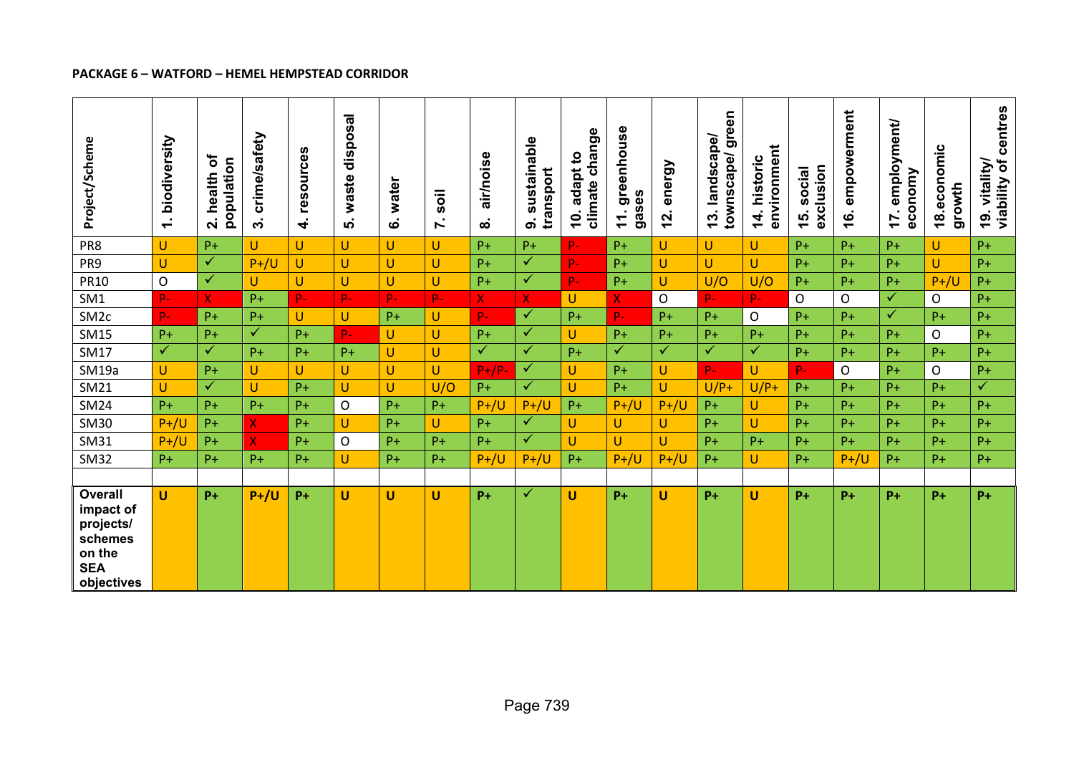#### **PACKAGE 6 – WATFORD – HEMEL HEMPSTEAD CORRIDOR**

| Project/Scheme                                                                            | biodiversity<br>$\sim$<br>$\overline{\phantom{0}}$ | ৳<br>population<br>health<br>$\dot{\mathbf{r}}$ | afety<br>crime/s<br>$\ddot{\mathbf{c}}$ | resources<br>4 | waste disposal<br>ທ່ | water<br>$\dot{\mathbf{o}}$ | soil<br>$\mathcal{L}_{\mathcal{A}}$<br>Ľ | air/noise<br>$\dot{\infty}$ | sustainable<br>transport<br>ெ | climate change<br>adapt to<br><u>io</u> | greenhouse<br>gases<br>$\mathbf{r}$ | energy<br><u>12.</u> | townscape/green<br>landscape/<br>$\frac{3}{3}$ | environment<br>historic<br>14. | exclusion<br>social<br>15. | empowerment<br><u>(6.</u> | employment/<br>economy<br>$\blacksquare$<br>17 | omic<br>$18.$ econo<br>growth | viability of centres<br>vitality/<br><u>19.</u> |
|-------------------------------------------------------------------------------------------|----------------------------------------------------|-------------------------------------------------|-----------------------------------------|----------------|----------------------|-----------------------------|------------------------------------------|-----------------------------|-------------------------------|-----------------------------------------|-------------------------------------|----------------------|------------------------------------------------|--------------------------------|----------------------------|---------------------------|------------------------------------------------|-------------------------------|-------------------------------------------------|
| PR8                                                                                       | U                                                  | $P+$                                            | U                                       | U              | U                    | $\cup$                      | U.                                       | $P+$                        | $P+$                          | $P -$                                   | $P+$                                | U                    | U                                              | U                              | $P+$                       | $P+$                      | $P+$                                           | U                             | $P+$                                            |
| PR9                                                                                       | $\cup$                                             | $\checkmark$                                    | $P+ / U$                                | U              | U                    | $\cup$                      | U                                        | $P+$                        | ✓                             | $\mathbf{p}_-$                          | $P+$                                | U                    | U                                              | U                              | $P+$                       | $P+$                      | $P+$                                           | U                             | $P+$                                            |
| <b>PR10</b>                                                                               | $\mathsf{O}$                                       | $\checkmark$                                    | U                                       | U              | Ù                    | $\mathsf{U}$                | Ū.                                       | $P+$                        | $\checkmark$                  | $\mathbf{p}_-$                          | $P+$                                | $\cup$               | U/O                                            | U/O                            | $P+$                       | $P+$                      | $P+$                                           | $P+/U$                        | $P +$                                           |
| SM1                                                                                       | $P -$                                              | $\mathsf{X}^-$                                  | $P+$                                    | p.             | $P -$                | $P -$                       | P-                                       | $\overline{X}$              | $\overline{\mathbf{X}}$ .     | Ù                                       | $\overline{X}$                      | $\mathsf{O}$         | $P -$                                          | P-                             | $\mathsf{O}$               | O                         | ✓                                              | $\mathsf{O}$                  | $P+$                                            |
| SM <sub>2c</sub>                                                                          | $\mathbf{p}_-$                                     | $P+$                                            | $P+$                                    | U              | U                    | $P+$                        | U                                        | $P -$                       | $\checkmark$                  | $P+$                                    | $P -$                               | $P+$                 | $P+$                                           | $\mathsf O$                    | $P+$                       | $P+$                      | $\checkmark$                                   | $P+$                          | $P+$                                            |
| <b>SM15</b>                                                                               | $P+$                                               | $P+$                                            | $\checkmark$                            | $P+$           | $P -$                | $\cup$                      | U                                        | $P+$                        | $\checkmark$                  | U                                       | $P+$                                | $P+$                 | $P+$                                           | $P+$                           | $P+$                       | $P+$                      | $P+$                                           | $\mathsf{O}$                  | $P+$                                            |
| SM17                                                                                      | $\checkmark$                                       | $\checkmark$                                    | $P+$                                    | $P +$          | $P+$                 | U                           | U.                                       | $\checkmark$                | $\checkmark$                  | $P+$                                    | $\checkmark$                        | $\checkmark$         | $\checkmark$                                   | $\checkmark$                   | $P+$                       | $P+$                      | $P+$                                           | $P+$                          | $P +$                                           |
| SM19a                                                                                     | U                                                  | $P+$                                            | U                                       | U              | U                    | $\cup$                      | U                                        | $P+/P-$                     | $\checkmark$                  | U                                       | $P+$                                | U                    | $P -$                                          | U                              | $P-$                       | O                         | $P+$                                           | $\mathsf{O}$                  | $P+$                                            |
| <b>SM21</b>                                                                               | $\cup$                                             | $\checkmark$                                    | U                                       | $P+$           | U                    | $\cup$                      | U/O                                      | $P+$                        | $\sqrt{}$                     | U                                       | $P+$                                | $\cup$               | $U/P+$                                         | $U/P+$                         | $P+$                       | $P+$                      | $P+$                                           | $P+$                          | $\overline{\checkmark}$                         |
| <b>SM24</b>                                                                               | $P +$                                              | $P+$                                            | $P+$                                    | $P+$           | $\mathsf{O}$         | $P+$                        | $P+$                                     | $P+/U$                      | $P+/U$                        | $P +$                                   | $P+/U$                              | $P+/U$               | $P+$                                           | U                              | $P+$                       | $P+$                      | $P+$                                           | $P+$                          | $P +$                                           |
| <b>SM30</b>                                                                               | $P+/U$                                             | $P+$                                            | X                                       | $P+$           | U                    | $P+$                        | U                                        | $P+$                        | ✓                             | U                                       | U                                   | U                    | $P+$                                           | U.                             | $P+$                       | $P+$                      | $P+$                                           | $P+$                          | $P+$                                            |
| <b>SM31</b>                                                                               | $P+/U$                                             | $P+$                                            | X                                       | $P+$           | $\mathsf{O}$         | $P+$                        | $P+$                                     | $P+$                        | $\checkmark$                  | U                                       | $\cup$                              | $\cup$               | $P+$                                           | $P+$                           | $P+$                       | $P+$                      | $P+$                                           | $P+$                          | $P +$                                           |
| <b>SM32</b>                                                                               | $P+$                                               | $P+$                                            | $P+$                                    | $P+$           | U                    | $P+$                        | $P+$                                     | $P+/U$                      | $P+/U$                        | $P+$                                    | $P+/U$                              | $P+ / U$             | $P+$                                           | U                              | $P+$                       | $P+/U$                    | $P+$                                           | $P+$                          | $P +$                                           |
|                                                                                           |                                                    |                                                 |                                         |                |                      |                             |                                          |                             |                               |                                         |                                     |                      |                                                |                                |                            |                           |                                                |                               |                                                 |
| <b>Overall</b><br>impact of<br>projects/<br>schemes<br>on the<br><b>SEA</b><br>objectives | U                                                  | $P+$                                            | $P+/U$                                  | $P+$           | U                    | U                           | U                                        | $P+$                        | ✓                             | U                                       | $P+$                                | U                    | $P+$                                           | U                              | $P+$                       | $P+$                      | $P+$                                           | $P+$                          | $P+$                                            |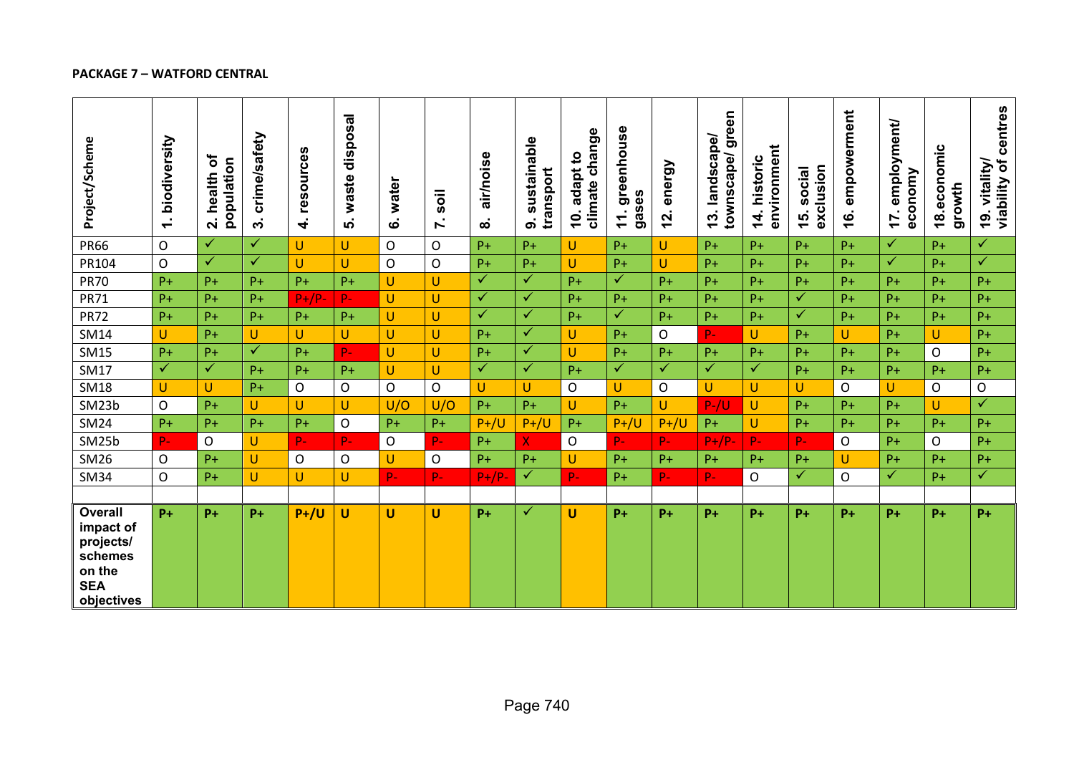## **PACKAGE 7 – WATFORD CENTRAL**

| Project/Scheme                                                                            | biodiversity<br>$\div$ | ð<br>population<br>health<br>$\dot{\mathbf{v}}$ | crime/safety<br>$\ddot{\mathbf{c}}$ | resources<br>4 | waste disposal<br>ທ່ | water<br>$\dot{\mathbf{\omega}}$ | soil<br>N    | air/noise<br>$\bf \infty$ | sustainable<br>transport<br>$\ddot{\mathbf{o}}$ | climate change<br>adapt to<br><u>0</u> | greenhouse<br>gases<br>$\mathbf{r}$ | energy<br>$\overline{a}$ | townscape/green<br>landscape/<br>$\frac{3}{3}$ | environment<br>14. historic | exclusion<br>social<br>$\frac{1}{2}$ | empowerment<br><u>16.</u> | employment/<br>economy<br>17. | 18.economic<br>growth | viability of centres<br>19. vitality/ |
|-------------------------------------------------------------------------------------------|------------------------|-------------------------------------------------|-------------------------------------|----------------|----------------------|----------------------------------|--------------|---------------------------|-------------------------------------------------|----------------------------------------|-------------------------------------|--------------------------|------------------------------------------------|-----------------------------|--------------------------------------|---------------------------|-------------------------------|-----------------------|---------------------------------------|
| <b>PR66</b>                                                                               | $\mathsf{O}$           | $\overline{\checkmark}$                         | $\checkmark$                        | Ù              | U                    | $\mathsf{O}$                     | $\mathsf{O}$ | $P+$                      | $P+$                                            | U                                      | $P+$                                | $\cup$                   | $P+$                                           | $P+$                        | $P+$                                 | $P+$                      | $\checkmark$                  | $P+$                  | $\sqrt{}$                             |
| PR104                                                                                     | $\mathsf O$            | $\blacktriangledown$                            | $\checkmark$                        | Ù              | U                    | $\mathsf{O}$                     | $\mathsf O$  | $P+$                      | $P+$                                            | U                                      | $P+$                                | $\cup$                   | $P+$                                           | $P+$                        | $P+$                                 | $P+$                      | $\checkmark$                  | $P+$                  | $\blacktriangledown$                  |
| <b>PR70</b>                                                                               | $P+$                   | $P+$                                            | $P+$                                | $P +$          | $P+$                 | $\cup$                           | U            | $\checkmark$              | $\checkmark$                                    | $P+$                                   | $\checkmark$                        | $P+$                     | $P+$                                           | $P+$                        | $P +$                                | $P+$                      | $P+$                          | $P+$                  | $P+$                                  |
| <b>PR71</b>                                                                               | $P+$                   | $P+$                                            | $P+$                                | $P+/P-$        | $P-$                 | $\mathbf{U}$                     | U            | $\checkmark$              | $\checkmark$                                    | $P+$                                   | $P+$                                | $P+$                     | $P+$                                           | $P+$                        | $\overline{\checkmark}$              | $P+$                      | $P+$                          | $P+$                  | $P+$                                  |
| <b>PR72</b>                                                                               | $P+$                   | $P+$                                            | $P+$                                | $P+$           | $P+$                 | $\cup$                           | U            | $\checkmark$              | $\checkmark$                                    | $P+$                                   | $\checkmark$                        | $P+$                     | $P+$                                           | $P+$                        | $\checkmark$                         | $P+$                      | $P+$                          | $P+$                  | $P+$                                  |
| <b>SM14</b>                                                                               | U                      | $P+$                                            | $\cup$                              | Ù              | U                    | U                                | U            | $P+$                      | $\checkmark$                                    | U                                      | $P+$                                | 0                        | $\mathbf{p}_-$                                 | $\cup$                      | $P+$                                 | U                         | $P+$                          | U                     | $P+$                                  |
| <b>SM15</b>                                                                               | $P+$                   | $P+$                                            | $\checkmark$                        | $P+$           | $P -$                | U                                | U            | $P+$                      | $\checkmark$                                    | U                                      | $P+$                                | $P+$                     | $P+$                                           | $P+$                        | $P+$                                 | $P+$                      | $P+$                          | $\mathsf{O}$          | $P+$                                  |
| <b>SM17</b>                                                                               | $\checkmark$           | $\checkmark$                                    | $P+$                                | $P +$          | $P+$                 | $\cup$                           | U            | $\checkmark$              | $\checkmark$                                    | $P +$                                  | $\checkmark$                        | $\checkmark$             | $\checkmark$                                   | $\checkmark$                | $P+$                                 | $P+$                      | $P+$                          | $P+$                  | $P+$                                  |
| <b>SM18</b>                                                                               | U                      | U                                               | $P+$                                | $\mathsf{O}$   | 0                    | $\Omega$                         | $\mathsf{O}$ | U                         | U                                               | 0                                      | U                                   | 0                        | U                                              | U                           | U                                    | O                         | U                             | $\mathsf{O}$          | 0                                     |
| SM23b                                                                                     | $\mathsf{O}$           | $P+$                                            | U                                   | U              | U                    | U/O                              | U/O          | $P+$                      | $P+$                                            | U                                      | $P+$                                | U                        | $P-/U$                                         | U.                          | $P+$                                 | $P+$                      | $P+$                          | U                     | $\blacktriangledown$                  |
| <b>SM24</b>                                                                               | $P+$                   | $P+$                                            | $P+$                                | $P +$          | $\mathsf O$          | $P+$                             | $P+$         | $P+ / U$                  | $P+/U$                                          | $P +$                                  | $P+ / U$                            | $P+ / U$                 | $P+$                                           | U.                          | $P +$                                | $P+$                      | $P+$                          | $P+$                  | $P+$                                  |
| SM25b                                                                                     | $P -$                  | $\mathsf{O}$                                    | U                                   | $P -$          | P-                   | $\mathsf{O}$                     | $P-$         | $P+$                      | X.                                              | 0                                      | $P -$                               | $P-$                     | $P+/P-$                                        | $P -$                       | P-                                   | O                         | $P+$                          | $\mathsf{O}$          | $P+$                                  |
| <b>SM26</b>                                                                               | O                      | $P+$                                            | $\cup$                              | $\mathsf O$    | O                    | $\cup$                           | O            | $P+$                      | $P+$                                            | U                                      | $P+$                                | $P+$                     | $P+$                                           | $P+$                        | $P+$                                 | U                         | $P+$                          | $P+$                  | $P+$                                  |
| <b>SM34</b>                                                                               | $\mathsf{O}$           | $P+$                                            | $\cup$                              | U              | U                    | $P -$                            | P-           | $P+/P-$                   | $\checkmark$                                    | $P -$                                  | $P+$                                | P-                       | $P -$                                          | $\mathsf O$                 | ✓                                    | O                         | $\checkmark$                  | $P+$                  | $\checkmark$                          |
|                                                                                           |                        |                                                 |                                     |                |                      |                                  |              |                           |                                                 |                                        |                                     |                          |                                                |                             |                                      |                           |                               |                       |                                       |
| <b>Overall</b><br>impact of<br>projects/<br>schemes<br>on the<br><b>SEA</b><br>objectives | $P+$                   | $P+$                                            | $P+$                                | $P+/U$         | U                    | U                                | U            | $P+$                      | ✓                                               | U                                      | $P+$                                | $P+$                     | $P+$                                           | $P+$                        | $P+$                                 | $P+$                      | $P+$                          | $P+$                  | $P+$                                  |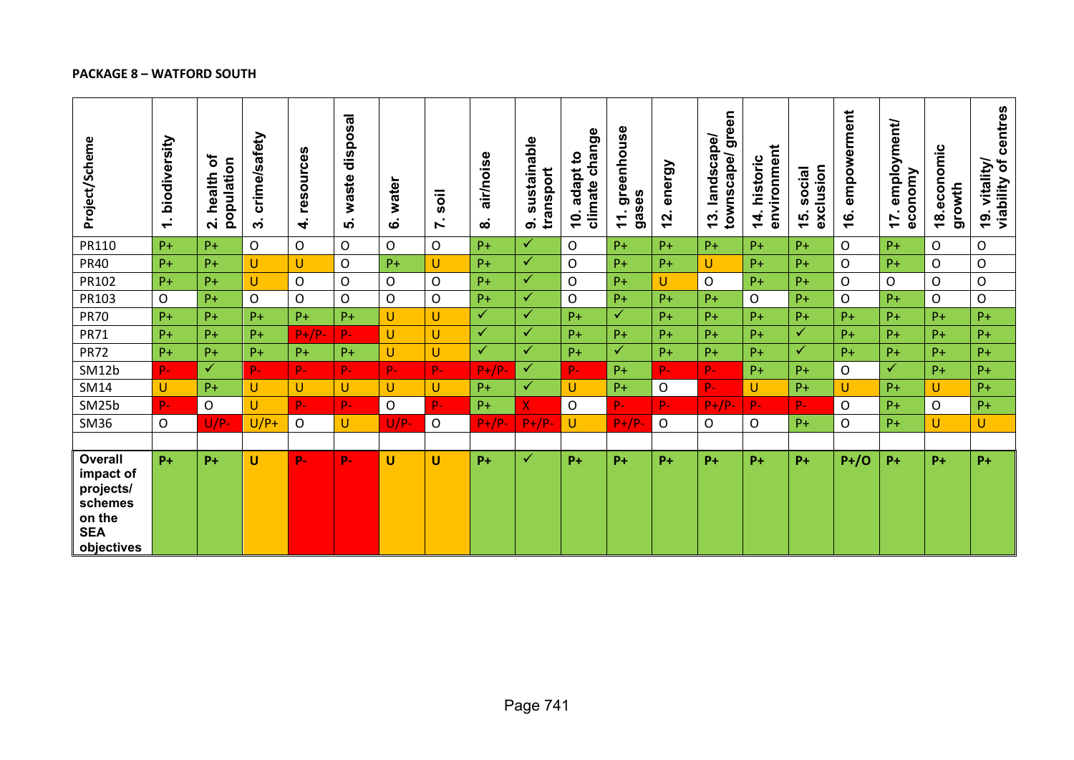# **PACKAGE 8 – WATFORD SOUTH**

| Project/Scheme                                                                            | biodiversity<br>$\div$ | ð<br>population<br>health<br>$\dot{\mathbf{v}}$ | crime/safety<br>ო                          | resources<br>$\overline{\mathbf{r}}$ | disposal<br>waste<br>ທ່ | water<br>ဖ   | soil<br>Ϋ́. | air/noise<br>$\infty$ | sustainable<br>transport<br>တ | climate change<br>adapt to<br>$\overline{\mathbf{c}}$ | greenhouse<br>gases<br>$\mathbf{r}$ | energy<br><u>12.</u> | green<br>landscape/<br>townscape/<br>13. | environment<br>historic<br>$\frac{4}{1}$ | exclusion<br>social<br>$\frac{1}{2}$ | empowerment<br><u>(6.</u> | employment/<br>economy<br>17 | omic<br><b>COD</b> .<br>growth<br>$\frac{8}{1}$ | viability of centres<br>19. vitality/ |
|-------------------------------------------------------------------------------------------|------------------------|-------------------------------------------------|--------------------------------------------|--------------------------------------|-------------------------|--------------|-------------|-----------------------|-------------------------------|-------------------------------------------------------|-------------------------------------|----------------------|------------------------------------------|------------------------------------------|--------------------------------------|---------------------------|------------------------------|-------------------------------------------------|---------------------------------------|
| PR110                                                                                     | $P +$                  | $P +$                                           | $\mathsf{O}$                               | O                                    | $\overline{O}$          | $\mathsf{O}$ | O           | $P+$                  | $\checkmark$                  | O                                                     | $P+$                                | $P+$                 | $P+$                                     | $P+$                                     | $P+$                                 | $\mathsf{O}$              | $P+$                         | $\mathsf{O}$                                    | O                                     |
| <b>PR40</b>                                                                               | $P+$                   | $P+$                                            | $\mathsf{U}% _{0}\left( \mathsf{U}\right)$ | U                                    | O                       | $P+$         | U           | $P+$                  | $\checkmark$                  | O                                                     | $P+$                                | $P+$                 | U                                        | $P+$                                     | $P+$                                 | $\mathsf O$               | $P+$                         | $\mathsf{O}$                                    | $\mathsf O$                           |
| PR102                                                                                     | $P+$                   | $P+$                                            | $\cup$                                     | $\mathsf O$                          | O                       | $\mathsf{O}$ | O           | $P+$                  | $\checkmark$                  | O                                                     | $P+$                                | U                    | $\mathsf{O}$                             | $P+$                                     | $P+$                                 | $\mathsf{O}$              | $\mathsf{O}$                 | $\mathsf{O}$                                    | $\mathsf{O}$                          |
| PR103                                                                                     | $\circ$                | $P+$                                            | $\mathsf{O}$                               | O                                    | O                       | $\mathsf{O}$ | $\mathsf O$ | $P+$                  | $\checkmark$                  | O                                                     | $P+$                                | $P+$                 | $P+$                                     | $\mathsf{O}$                             | $P+$                                 | $\mathsf{O}$              | $P+$                         | $\mathsf{O}$                                    | $\mathsf{O}$                          |
| <b>PR70</b>                                                                               | $P+$                   | $P+$                                            | $P+$                                       | $P+$                                 | $P+$                    | $\cup$       | U           | $\checkmark$          | $\checkmark$                  | $P+$                                                  | $\checkmark$                        | $P+$                 | $P+$                                     | $P+$                                     | $P+$                                 | $P+$                      | $P+$                         | $P+$                                            | $P+$                                  |
| <b>PR71</b>                                                                               | $P+$                   | $P+$                                            | $P+$                                       | $P+/P-$                              | $P -$                   | $\cup$       | U           | $\checkmark$          | $\checkmark$                  | $P+$                                                  | $P+$                                | $P+$                 | $P+$                                     | $P+$                                     | $\checkmark$                         | $P+$                      | $P+$                         | $P+$                                            | $P+$                                  |
| <b>PR72</b>                                                                               | $P+$                   | $P+$                                            | $P+$                                       | $P+$                                 | $P+$                    | $\cup$       | U.          | $\checkmark$          | $\checkmark$                  | $P+$                                                  | $\checkmark$                        | $P+$                 | $P+$                                     | $P+$                                     | ✓                                    | $P+$                      | $P+$                         | $P+$                                            | $P +$                                 |
| SM12b                                                                                     | $P -$                  | $\checkmark$                                    | p.                                         | $P-$                                 | $P-$                    | $P -$        | $P -$       | $P+/P$                | ✓                             | p.                                                    | $P+$                                | $P -$                | $P -$                                    | $P+$                                     | $P+$                                 | O                         | $\checkmark$                 | $P+$                                            | $P+$                                  |
| SM14                                                                                      | U                      | $P+$                                            | U                                          | U                                    | U                       | U            | U           | $P+$                  | $\checkmark$                  | U                                                     | $P+$                                | $\mathsf{O}$         | $P -$                                    | U                                        | $P+$                                 | U                         | $P+$                         | $\cup$                                          | $P+$                                  |
| SM25b                                                                                     | $P -$                  | $\mathsf{O}$                                    | $\cup$                                     | $P -$                                | $P -$                   | $\mathsf{O}$ | $P -$       | $P+$                  | X.                            | O                                                     | $\mathbf{p}_-$                      | $P-$                 | $P+/P-$                                  | P-                                       | P-                                   | $\mathsf{O}$              | $P+$                         | $\mathsf{O}$                                    | $P+$                                  |
| <b>SM36</b>                                                                               | $\mathsf O$            | $U/P-$                                          | $U/P+$                                     | $\mathsf O$                          | U                       | $U/P-$       | O           | $P+/P-$               | $P+/P-$                       | U                                                     | $P+/P-$                             | $\mathsf O$          | 0                                        | $\mathsf O$                              | $P+$                                 | $\mathsf{O}$              | $P+$                         | $\cup$                                          | U.                                    |
|                                                                                           |                        |                                                 |                                            |                                      |                         |              |             |                       |                               |                                                       |                                     |                      |                                          |                                          |                                      |                           |                              |                                                 |                                       |
| <b>Overall</b><br>impact of<br>projects/<br>schemes<br>on the<br><b>SEA</b><br>objectives | $P+$                   | $P+$                                            | $\mathbf U$                                | P-                                   | p.                      | U            | U           | $P+$                  | ✓                             | $P+$                                                  | $P+$                                | $P+$                 | $P+$                                     | $P+$                                     | $P+$                                 | $P+ / O$                  | $P+$                         | $P+$                                            | $P+$                                  |